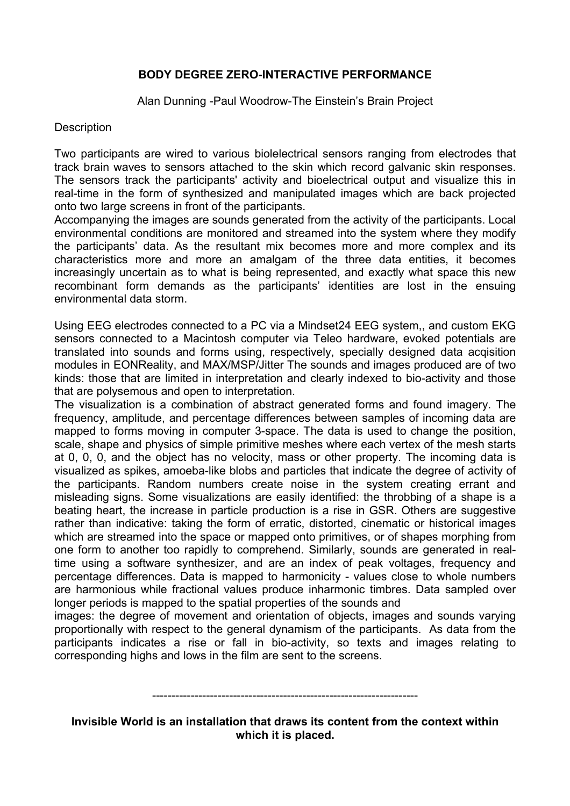## **BODY DEGREE ZERO-INTERACTIVE PERFORMANCE**

Alan Dunning -Paul Woodrow-The Einstein's Brain Project

## **Description**

Two participants are wired to various biolelectrical sensors ranging from electrodes that track brain waves to sensors attached to the skin which record galvanic skin responses. The sensors track the participants' activity and bioelectrical output and visualize this in real-time in the form of synthesized and manipulated images which are back projected onto two large screens in front of the participants.

Accompanying the images are sounds generated from the activity of the participants. Local environmental conditions are monitored and streamed into the system where they modify the participants' data. As the resultant mix becomes more and more complex and its characteristics more and more an amalgam of the three data entities, it becomes increasingly uncertain as to what is being represented, and exactly what space this new recombinant form demands as the participants' identities are lost in the ensuing environmental data storm.

Using EEG electrodes connected to a PC via a Mindset24 EEG system,, and custom EKG sensors connected to a Macintosh computer via Teleo hardware, evoked potentials are translated into sounds and forms using, respectively, specially designed data acqisition modules in EONReality, and MAX/MSP/Jitter The sounds and images produced are of two kinds: those that are limited in interpretation and clearly indexed to bio-activity and those that are polysemous and open to interpretation.

The visualization is a combination of abstract generated forms and found imagery. The frequency, amplitude, and percentage differences between samples of incoming data are mapped to forms moving in computer 3-space. The data is used to change the position, scale, shape and physics of simple primitive meshes where each vertex of the mesh starts at 0, 0, 0, and the object has no velocity, mass or other property. The incoming data is visualized as spikes, amoeba-like blobs and particles that indicate the degree of activity of the participants. Random numbers create noise in the system creating errant and misleading signs. Some visualizations are easily identified: the throbbing of a shape is a beating heart, the increase in particle production is a rise in GSR. Others are suggestive rather than indicative: taking the form of erratic, distorted, cinematic or historical images which are streamed into the space or mapped onto primitives, or of shapes morphing from one form to another too rapidly to comprehend. Similarly, sounds are generated in realtime using a software synthesizer, and are an index of peak voltages, frequency and percentage differences. Data is mapped to harmonicity - values close to whole numbers are harmonious while fractional values produce inharmonic timbres. Data sampled over longer periods is mapped to the spatial properties of the sounds and

images: the degree of movement and orientation of objects, images and sounds varying proportionally with respect to the general dynamism of the participants. As data from the participants indicates a rise or fall in bio-activity, so texts and images relating to corresponding highs and lows in the film are sent to the screens.

## ---------------------------------------------------------------------

**Invisible World is an installation that draws its content from the context within which it is placed.**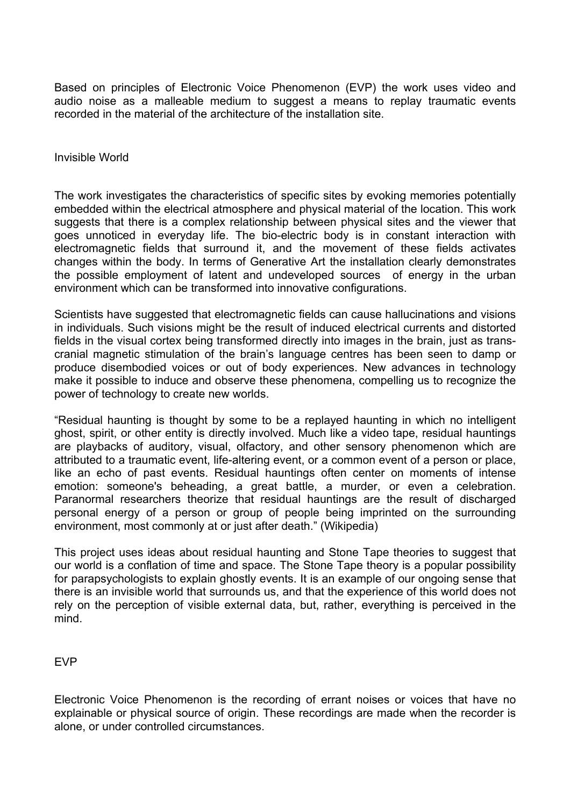Based on principles of Electronic Voice Phenomenon (EVP) the work uses video and audio noise as a malleable medium to suggest a means to replay traumatic events recorded in the material of the architecture of the installation site.

Invisible World

The work investigates the characteristics of specific sites by evoking memories potentially embedded within the electrical atmosphere and physical material of the location. This work suggests that there is a complex relationship between physical sites and the viewer that goes unnoticed in everyday life. The bio-electric body is in constant interaction with electromagnetic fields that surround it, and the movement of these fields activates changes within the body. In terms of Generative Art the installation clearly demonstrates the possible employment of latent and undeveloped sources of energy in the urban environment which can be transformed into innovative configurations.

Scientists have suggested that electromagnetic fields can cause hallucinations and visions in individuals. Such visions might be the result of induced electrical currents and distorted fields in the visual cortex being transformed directly into images in the brain, just as transcranial magnetic stimulation of the brain's language centres has been seen to damp or produce disembodied voices or out of body experiences. New advances in technology make it possible to induce and observe these phenomena, compelling us to recognize the power of technology to create new worlds.

"Residual haunting is thought by some to be a replayed haunting in which no intelligent ghost, spirit, or other entity is directly involved. Much like a video tape, residual hauntings are playbacks of auditory, visual, olfactory, and other sensory phenomenon which are attributed to a traumatic event, life-altering event, or a common event of a person or place, like an echo of past events. Residual hauntings often center on moments of intense emotion: someone's beheading, a great battle, a murder, or even a celebration. Paranormal researchers theorize that residual hauntings are the result of discharged personal energy of a person or group of people being imprinted on the surrounding environment, most commonly at or just after death." (Wikipedia)

This project uses ideas about residual haunting and Stone Tape theories to suggest that our world is a conflation of time and space. The Stone Tape theory is a popular possibility for parapsychologists to explain ghostly events. It is an example of our ongoing sense that there is an invisible world that surrounds us, and that the experience of this world does not rely on the perception of visible external data, but, rather, everything is perceived in the mind.

EVP

Electronic Voice Phenomenon is the recording of errant noises or voices that have no explainable or physical source of origin. These recordings are made when the recorder is alone, or under controlled circumstances.